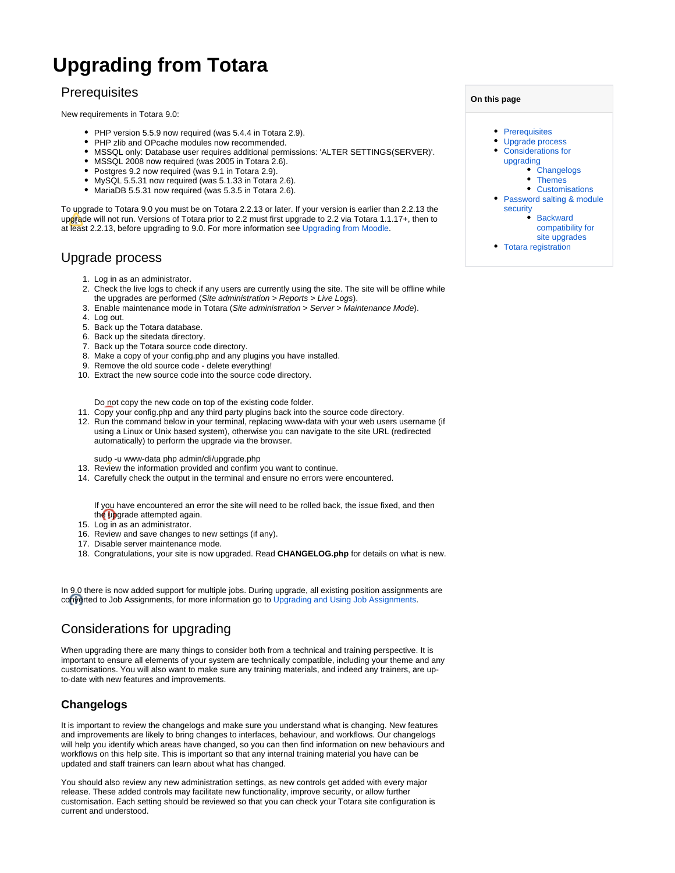# **Upgrading from Totara**

## <span id="page-0-0"></span>**Prerequisites**

New requirements in Totara 9.0:

- PHP version 5.5.9 now required (was 5.4.4 in Totara 2.9).
- PHP zlib and OPcache modules now recommended.
- MSSQL only: Database user requires additional permissions: 'ALTER SETTINGS(SERVER)'.
- MSSQL 2008 now required (was 2005 in Totara 2.6).
- Postgres 9.2 now required (was 9.1 in Totara 2.9).
- MySQL 5.5.31 now required (was 5.1.33 in Totara 2.6).
- $\bullet$  MariaDB 5.5.31 now required (was 5.3.5 in Totara 2.6).

To upgrade to Totara 9.0 you must be on Totara 2.2.13 or later. If your version is earlier than 2.2.13 the upgrade will not run. Versions of Totara prior to 2.2 must first upgrade to 2.2 via Totara 1.1.17+, then to at least 2.2.13, before upgrading to 9.0. For more information see [Upgrading from Moodle.](https://help.totaralearning.com/display/TL9/Upgrading+from+Moodle)

## <span id="page-0-1"></span>Upgrade process

- 1. Log in as an administrator.
- 2. Check the live logs to check if any users are currently using the site. The site will be offline while the upgrades are performed (Site administration > Reports > Live Logs).
- 3. Enable maintenance mode in Totara (Site administration > Server > Maintenance Mode).
- 4. Log out.
- 5. Back up the Totara database.
- 6. Back up the sitedata directory.
- 7. Back up the Totara source code directory.
- 8. Make a copy of your config.php and any plugins you have installed.
- 9. Remove the old source code delete everything!
- 10. Extract the new source code into the source code directory.

Do not copy the new code on top of the existing code folder.

- 11. Copy your config.php and any third party plugins back into the source code directory.
- 12. Run the command below in your terminal, replacing www-data with your web users username (if using a Linux or Unix based system), otherwise you can navigate to the site URL (redirected automatically) to perform the upgrade via the browser.

sudo -u www-data php admin/cli/upgrade.php

- 13. Review the information provided and confirm you want to continue.
- 14. Carefully check the output in the terminal and ensure no errors were encountered.

If you have encountered an error the site will need to be rolled back, the issue fixed, and then the upgrade attempted again.

- 15. Log in as an administrator.
- 16. Review and save changes to new settings (if any).
- 17. Disable server maintenance mode.
- 18. Congratulations, your site is now upgraded. Read **CHANGELOG.php** for details on what is new.

In 9.0 there is now added support for multiple jobs. During upgrade, all existing position assignments are converted to Job Assignments, for more information go to [Upgrading and Using Job Assignments.](https://help.totaralearning.com/display/TL9/Upgrading+and+Using+Job+Assignments)

## <span id="page-0-2"></span>Considerations for upgrading

When upgrading there are many things to consider both from a technical and training perspective. It is important to ensure all elements of your system are technically compatible, including your theme and any customisations. You will also want to make sure any training materials, and indeed any trainers, are upto-date with new features and improvements.

#### <span id="page-0-3"></span>**Changelogs**

It is important to review the changelogs and make sure you understand what is changing. New features and improvements are likely to bring changes to interfaces, behaviour, and workflows. Our changelogs will help you identify which areas have changed, so you can then find information on new behaviours and workflows on this help site. This is important so that any internal training material you have can be updated and staff trainers can learn about what has changed.

You should also review any new administration settings, as new controls get added with every major release. These added controls may facilitate new functionality, improve security, or allow further customisation. Each setting should be reviewed so that you can check your Totara site configuration is current and understood.

| On this page |                                                                                 |
|--------------|---------------------------------------------------------------------------------|
|              | • Prerequisites                                                                 |
|              | Upgrade process                                                                 |
|              | • Considerations for                                                            |
|              | upgrading                                                                       |
|              | • Changelogs                                                                    |
|              | • Themes                                                                        |
|              | Customisations                                                                  |
|              | • Password salting & module                                                     |
|              | security                                                                        |
|              | <b>Backward</b>                                                                 |
|              | compatibility for                                                               |
|              | site upgrades                                                                   |
|              | the contract of the contract of the contract of the contract of the contract of |

[Totara registration](#page-1-4)